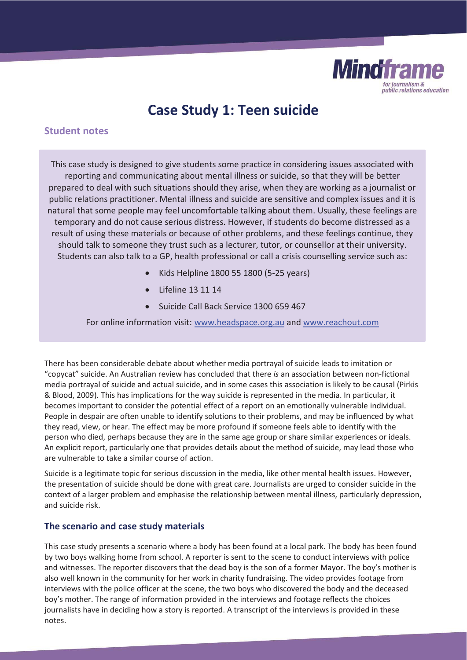

# **Case Study 1: Teen suicide**

## **Student notes**

This case study is designed to give students some practice in considering issues associated with reporting and communicating about mental illness or suicide, so that they will be better prepared to deal with such situations should they arise, when they are working as a journalist or public relations practitioner. Mental illness and suicide are sensitive and complex issues and it is natural that some people may feel uncomfortable talking about them. Usually, these feelings are temporary and do not cause serious distress. However, if students do become distressed as a result of using these materials or because of other problems, and these feelings continue, they should talk to someone they trust such as a lecturer, tutor, or counsellor at their university. Students can also talk to a GP, health professional or call a crisis counselling service such as:

- x Kids Helpline 1800 55 1800 (5-25 years)
- x Lifeline 13 11 14
- x Suicide Call Back Service 1300 659 467

For online information visit: www.headspace.org.au and www.reachout.com

There has been considerable debate about whether media portrayal of suicide leads to imitation or "copycat" suicide. An Australian review has concluded that there *is* an association between non-fictional media portrayal of suicide and actual suicide, and in some cases this association is likely to be causal (Pirkis & Blood, 2009)*.* This has implications for the way suicide is represented in the media. In particular, it becomes important to consider the potential effect of a report on an emotionally vulnerable individual. People in despair are often unable to identify solutions to their problems, and may be influenced by what they read, view, or hear. The effect may be more profound if someone feels able to identify with the person who died, perhaps because they are in the same age group or share similar experiences or ideals. An explicit report, particularly one that provides details about the method of suicide, may lead those who are vulnerable to take a similar course of action.

Suicide is a legitimate topic for serious discussion in the media, like other mental health issues. However, the presentation of suicide should be done with great care. Journalists are urged to consider suicide in the context of a larger problem and emphasise the relationship between mental illness, particularly depression, and suicide risk.

### **The scenario and case study materials**

This case study presents a scenario where a body has been found at a local park. The body has been found by two boys walking home from school. A reporter is sent to the scene to conduct interviews with police and witnesses. The reporter discovers that the dead boy is the son of a former Mayor. The boy's mother is also well known in the community for her work in charity fundraising. The video provides footage from interviews with the police officer at the scene, the two boys who discovered the body and the deceased boy's mother. The range of information provided in the interviews and footage reflects the choices journalists have in deciding how a story is reported. A transcript of the interviews is provided in these notes.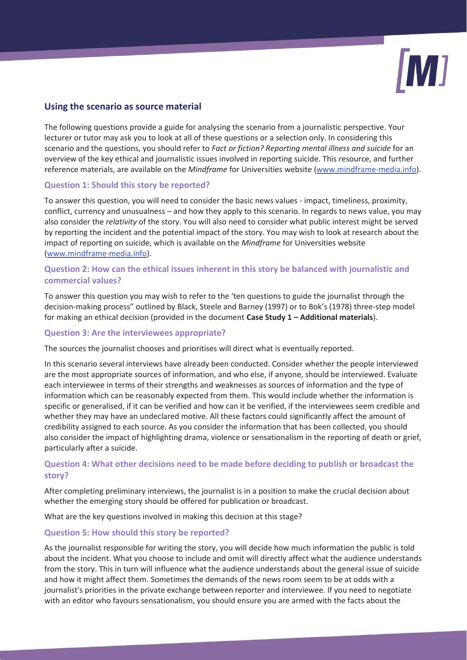

## **Using the scenario as source material**

The following questions provide a guide for analysing the scenario from a journalistic perspective. Your lecturer or tutor may ask you to look at all of these questions or a selection only. In considering this scenario and the questions, you should refer to *Fact or fiction? Reporting mental illness and suicide* for an overview of the key ethical and journalistic issues involved in reporting suicide. This resource, and further reference materials, are available on the *Mindframe* for Universities website (www.mindframe-media.info).

#### **Question 1: Should this story be reported?**

To answer this question, you will need to consider the basic news values - impact, timeliness, proximity, conflict, currency and unusualness – and how they apply to this scenario. In regards to news value, you may also consider the *relativity* of the story. You will also need to consider what public interest might be served by reporting the incident and the potential impact of the story. You may wish to look at research about the impact of reporting on suicide, which is available on the *Mindframe* for Universities website (www.mindframe-media.info).

## **Question 2: How can the ethical issues inherent in this story be balanced with journalistic and commercial values?**

To answer this question you may wish to refer to the 'ten questions to guide the journalist through the decision-making process" outlined by Black, Steele and Barney (1997) or to Bok's (1978) three-step model for making an ethical decision (provided in the document **Case Study 1 – Additional materials**).

#### **Question 3: Are the interviewees appropriate?**

The sources the journalist chooses and prioritises will direct what is eventually reported.

In this scenario several interviews have already been conducted. Consider whether the people interviewed are the most appropriate sources of information, and who else, if anyone, should be interviewed. Evaluate each interviewee in terms of their strengths and weaknesses as sources of information and the type of information which can be reasonably expected from them. This would include whether the information is specific or generalised, if it can be verified and how can it be verified, if the interviewees seem credible and whether they may have an undeclared motive. All these factors could significantly affect the amount of credibility assigned to each source. As you consider the information that has been collected, you should also consider the impact of highlighting drama, violence or sensationalism in the reporting of death or grief, particularly after a suicide.

## **Question 4: What other decisions need to be made before deciding to publish or broadcast the story?**

After completing preliminary interviews, the journalist is in a position to make the crucial decision about whether the emerging story should be offered for publication or broadcast.

What are the key questions involved in making this decision at this stage?

#### **Question 5: How should this story be reported?**

As the journalist responsible for writing the story, you will decide how much information the public is told about the incident. What you choose to include and omit will directly affect what the audience understands from the story. This in turn will influence what the audience understands about the general issue of suicide and how it might affect them. Sometimes the demands of the news room seem to be at odds with a journalist's priorities in the private exchange between reporter and interviewee. If you need to negotiate with an editor who favours sensationalism, you should ensure you are armed with the facts about the